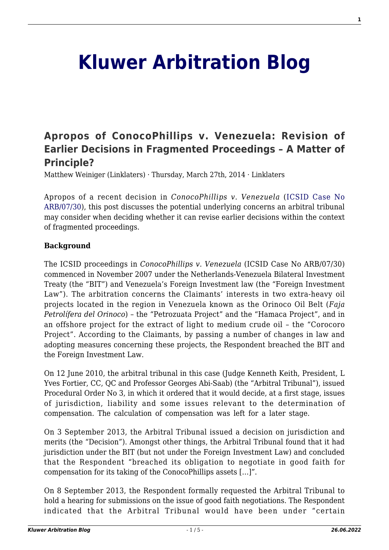# **[Kluwer Arbitration Blog](http://arbitrationblog.kluwerarbitration.com/)**

# **[Apropos of ConocoPhillips v. Venezuela: Revision of](http://arbitrationblog.kluwerarbitration.com/2014/03/27/apropos-of-conocophillips-v-venezuela-revision-of-earlier-decisions-in-fragmented-proceedings-a-matter-of-principle/) [Earlier Decisions in Fragmented Proceedings – A Matter of](http://arbitrationblog.kluwerarbitration.com/2014/03/27/apropos-of-conocophillips-v-venezuela-revision-of-earlier-decisions-in-fragmented-proceedings-a-matter-of-principle/) [Principle?](http://arbitrationblog.kluwerarbitration.com/2014/03/27/apropos-of-conocophillips-v-venezuela-revision-of-earlier-decisions-in-fragmented-proceedings-a-matter-of-principle/)**

Matthew Weiniger (Linklaters) · Thursday, March 27th, 2014 · Linklaters

Apropos of a recent decision in *ConocoPhillips v. Venezuela* ([ICSID Case No](http://www.italaw.com/cases/321) [ARB/07/30](http://www.italaw.com/cases/321)), this post discusses the potential underlying concerns an arbitral tribunal may consider when deciding whether it can revise earlier decisions within the context of fragmented proceedings.

#### **Background**

The ICSID proceedings in *ConocoPhillips v. Venezuela* (ICSID Case No ARB/07/30) commenced in November 2007 under the Netherlands-Venezuela Bilateral Investment Treaty (the "BIT") and Venezuela's Foreign Investment law (the "Foreign Investment Law"). The arbitration concerns the Claimants' interests in two extra-heavy oil projects located in the region in Venezuela known as the Orinoco Oil Belt (*Faja Petrolífera del Orinoco*) – the "Petrozuata Project" and the "Hamaca Project", and in an offshore project for the extract of light to medium crude oil – the "Corocoro Project". According to the Claimants, by passing a number of changes in law and adopting measures concerning these projects, the Respondent breached the BIT and the Foreign Investment Law.

On 12 June 2010, the arbitral tribunal in this case (Judge Kenneth Keith, President, L Yves Fortier, CC, QC and Professor Georges Abi-Saab) (the "Arbitral Tribunal"), issued Procedural Order No 3, in which it ordered that it would decide, at a first stage, issues of jurisdiction, liability and some issues relevant to the determination of compensation. The calculation of compensation was left for a later stage.

On 3 September 2013, the Arbitral Tribunal issued a decision on jurisdiction and merits (the "Decision"). Amongst other things, the Arbitral Tribunal found that it had jurisdiction under the BIT (but not under the Foreign Investment Law) and concluded that the Respondent "breached its obligation to negotiate in good faith for compensation for its taking of the ConocoPhillips assets […]".

On 8 September 2013, the Respondent formally requested the Arbitral Tribunal to hold a hearing for submissions on the issue of good faith negotiations. The Respondent indicated that the Arbitral Tribunal would have been under "certain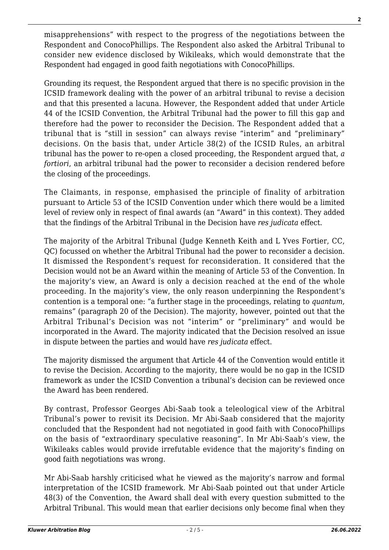misapprehensions" with respect to the progress of the negotiations between the Respondent and ConocoPhillips. The Respondent also asked the Arbitral Tribunal to consider new evidence disclosed by Wikileaks, which would demonstrate that the Respondent had engaged in good faith negotiations with ConocoPhillips.

Grounding its request, the Respondent argued that there is no specific provision in the ICSID framework dealing with the power of an arbitral tribunal to revise a decision and that this presented a lacuna. However, the Respondent added that under Article 44 of the ICSID Convention, the Arbitral Tribunal had the power to fill this gap and therefore had the power to reconsider the Decision. The Respondent added that a tribunal that is "still in session" can always revise "interim" and "preliminary" decisions. On the basis that, under Article 38(2) of the ICSID Rules, an arbitral tribunal has the power to re-open a closed proceeding, the Respondent argued that, *a fortiori*, an arbitral tribunal had the power to reconsider a decision rendered before the closing of the proceedings.

The Claimants, in response, emphasised the principle of finality of arbitration pursuant to Article 53 of the ICSID Convention under which there would be a limited level of review only in respect of final awards (an "Award" in this context). They added that the findings of the Arbitral Tribunal in the Decision have *res judicata* effect.

The majority of the Arbitral Tribunal (Judge Kenneth Keith and L Yves Fortier, CC, QC) focussed on whether the Arbitral Tribunal had the power to reconsider a decision. It dismissed the Respondent's request for reconsideration. It considered that the Decision would not be an Award within the meaning of Article 53 of the Convention. In the majority's view, an Award is only a decision reached at the end of the whole proceeding. In the majority's view, the only reason underpinning the Respondent's contention is a temporal one: "a further stage in the proceedings, relating to *quantum*, remains" (paragraph 20 of the Decision). The majority, however, pointed out that the Arbitral Tribunal's Decision was not "interim" or "preliminary" and would be incorporated in the Award. The majority indicated that the Decision resolved an issue in dispute between the parties and would have *res judicata* effect.

The majority dismissed the argument that Article 44 of the Convention would entitle it to revise the Decision. According to the majority, there would be no gap in the ICSID framework as under the ICSID Convention a tribunal's decision can be reviewed once the Award has been rendered.

By contrast, Professor Georges Abi-Saab took a teleological view of the Arbitral Tribunal's power to revisit its Decision. Mr Abi-Saab considered that the majority concluded that the Respondent had not negotiated in good faith with ConocoPhillips on the basis of "extraordinary speculative reasoning". In Mr Abi-Saab's view, the Wikileaks cables would provide irrefutable evidence that the majority's finding on good faith negotiations was wrong.

Mr Abi-Saab harshly criticised what he viewed as the majority's narrow and formal interpretation of the ICSID framework. Mr Abi-Saab pointed out that under Article 48(3) of the Convention, the Award shall deal with every question submitted to the Arbitral Tribunal. This would mean that earlier decisions only become final when they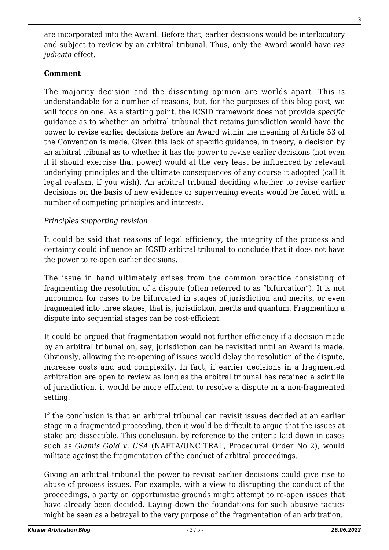are incorporated into the Award. Before that, earlier decisions would be interlocutory and subject to review by an arbitral tribunal. Thus, only the Award would have *res judicata* effect.

# **Comment**

The majority decision and the dissenting opinion are worlds apart. This is understandable for a number of reasons, but, for the purposes of this blog post, we will focus on one. As a starting point, the ICSID framework does not provide *specific* guidance as to whether an arbitral tribunal that retains jurisdiction would have the power to revise earlier decisions before an Award within the meaning of Article 53 of the Convention is made. Given this lack of specific guidance, in theory, a decision by an arbitral tribunal as to whether it has the power to revise earlier decisions (not even if it should exercise that power) would at the very least be influenced by relevant underlying principles and the ultimate consequences of any course it adopted (call it legal realism, if you wish). An arbitral tribunal deciding whether to revise earlier decisions on the basis of new evidence or supervening events would be faced with a number of competing principles and interests.

### *Principles supporting revision*

It could be said that reasons of legal efficiency, the integrity of the process and certainty could influence an ICSID arbitral tribunal to conclude that it does not have the power to re-open earlier decisions.

The issue in hand ultimately arises from the common practice consisting of fragmenting the resolution of a dispute (often referred to as "bifurcation"). It is not uncommon for cases to be bifurcated in stages of jurisdiction and merits, or even fragmented into three stages, that is, jurisdiction, merits and quantum. Fragmenting a dispute into sequential stages can be cost-efficient.

It could be argued that fragmentation would not further efficiency if a decision made by an arbitral tribunal on, say, jurisdiction can be revisited until an Award is made. Obviously, allowing the re-opening of issues would delay the resolution of the dispute, increase costs and add complexity. In fact, if earlier decisions in a fragmented arbitration are open to review as long as the arbitral tribunal has retained a scintilla of jurisdiction, it would be more efficient to resolve a dispute in a non-fragmented setting.

If the conclusion is that an arbitral tribunal can revisit issues decided at an earlier stage in a fragmented proceeding, then it would be difficult to argue that the issues at stake are dissectible. This conclusion, by reference to the criteria laid down in cases such as *Glamis Gold v. USA* (NAFTA/UNCITRAL, Procedural Order No 2), would militate against the fragmentation of the conduct of arbitral proceedings.

Giving an arbitral tribunal the power to revisit earlier decisions could give rise to abuse of process issues. For example, with a view to disrupting the conduct of the proceedings, a party on opportunistic grounds might attempt to re-open issues that have already been decided. Laying down the foundations for such abusive tactics might be seen as a betrayal to the very purpose of the fragmentation of an arbitration.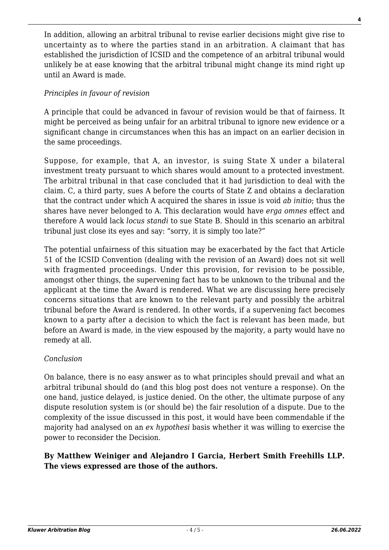In addition, allowing an arbitral tribunal to revise earlier decisions might give rise to uncertainty as to where the parties stand in an arbitration. A claimant that has established the jurisdiction of ICSID and the competence of an arbitral tribunal would unlikely be at ease knowing that the arbitral tribunal might change its mind right up until an Award is made.

## *Principles in favour of revision*

A principle that could be advanced in favour of revision would be that of fairness. It might be perceived as being unfair for an arbitral tribunal to ignore new evidence or a significant change in circumstances when this has an impact on an earlier decision in the same proceedings.

Suppose, for example, that A, an investor, is suing State X under a bilateral investment treaty pursuant to which shares would amount to a protected investment. The arbitral tribunal in that case concluded that it had jurisdiction to deal with the claim. C, a third party, sues A before the courts of State Z and obtains a declaration that the contract under which A acquired the shares in issue is void *ab initio*; thus the shares have never belonged to A. This declaration would have *erga omnes* effect and therefore A would lack *locus standi* to sue State B. Should in this scenario an arbitral tribunal just close its eyes and say: "sorry, it is simply too late?"

The potential unfairness of this situation may be exacerbated by the fact that Article 51 of the ICSID Convention (dealing with the revision of an Award) does not sit well with fragmented proceedings. Under this provision, for revision to be possible, amongst other things, the supervening fact has to be unknown to the tribunal and the applicant at the time the Award is rendered. What we are discussing here precisely concerns situations that are known to the relevant party and possibly the arbitral tribunal before the Award is rendered. In other words, if a supervening fact becomes known to a party after a decision to which the fact is relevant has been made, but before an Award is made, in the view espoused by the majority, a party would have no remedy at all.

#### *Conclusion*

On balance, there is no easy answer as to what principles should prevail and what an arbitral tribunal should do (and this blog post does not venture a response). On the one hand, justice delayed, is justice denied. On the other, the ultimate purpose of any dispute resolution system is (or should be) the fair resolution of a dispute. Due to the complexity of the issue discussed in this post, it would have been commendable if the majority had analysed on an *ex hypothesi* basis whether it was willing to exercise the power to reconsider the Decision.

### **By Matthew Weiniger and Alejandro I Garcia, Herbert Smith Freehills LLP. The views expressed are those of the authors.**